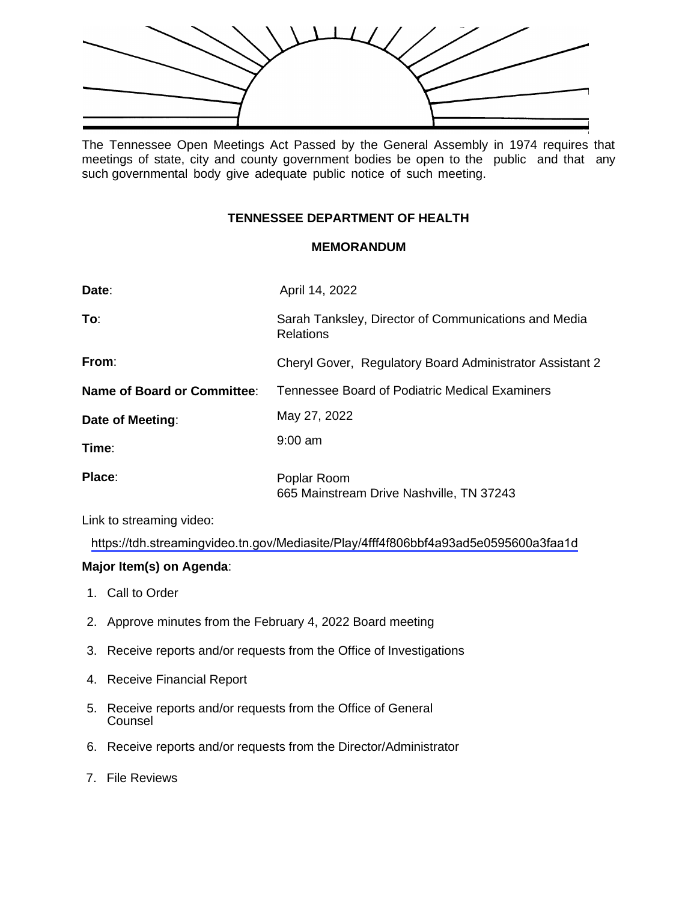

The Tennessee Open Meetings Act Passed by the General Assembly in 1974 requires that meetings of state, city and county government bodies be open to the public and that any such governmental body give adequate public notice of such meeting.

## **TENNESSEE DEPARTMENT OF HEALTH**

## **MEMORANDUM**

| Date:                       | April 14, 2022                                                           |
|-----------------------------|--------------------------------------------------------------------------|
| To∶                         | Sarah Tanksley, Director of Communications and Media<br><b>Relations</b> |
| From:                       | Cheryl Gover, Regulatory Board Administrator Assistant 2                 |
| Name of Board or Committee: | Tennessee Board of Podiatric Medical Examiners                           |
| Date of Meeting:            | May 27, 2022                                                             |
| Time:                       | $9:00$ am                                                                |
| Place:                      | Poplar Room<br>665 Mainstream Drive Nashville, TN 37243                  |

Link to streaming video:

<https://tdh.streamingvideo.tn.gov/Mediasite/Play/4fff4f806bbf4a93ad5e0595600a3faa1d>

## **Major Item(s) on Agenda**:

- 1. Call to Order
- 2. Approve minutes from the February 4, 2022 Board meeting
- 3. Receive reports and/or requests from the Office of Investigations
- 4. Receive Financial Report
- 5. Receive reports and/or requests from the Office of General Counsel
- 6. Receive reports and/or requests from the Director/Administrator
- 7. File Reviews